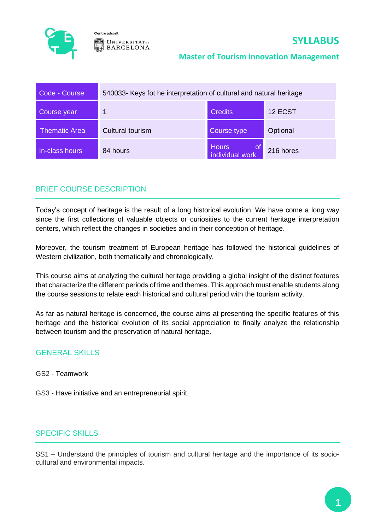

Centre adscrit **UNIVERSITATDE BARCELONA** 

### **Master of Tourism innovation Management**

| Code - Course        | 540033- Keys fot he interpretation of cultural and natural heritage |                                          |           |
|----------------------|---------------------------------------------------------------------|------------------------------------------|-----------|
| Course year          |                                                                     | <b>Credits</b>                           | 12 ECST   |
| <b>Thematic Area</b> | <b>Cultural tourism</b>                                             | Course type                              | Optional  |
| In-class hours       | 84 hours                                                            | <b>Hours</b><br>l Of,<br>individual work | 216 hores |

### BRIEF COURSE DESCRIPTION

Today's concept of heritage is the result of a long historical evolution. We have come a long way since the first collections of valuable objects or curiosities to the current heritage interpretation centers, which reflect the changes in societies and in their conception of heritage.

Moreover, the tourism treatment of European heritage has followed the historical guidelines of Western civilization, both thematically and chronologically.

This course aims at analyzing the cultural heritage providing a global insight of the distinct features that characterize the different periods of time and themes. This approach must enable students along the course sessions to relate each historical and cultural period with the tourism activity.

As far as natural heritage is concerned, the course aims at presenting the specific features of this heritage and the historical evolution of its social appreciation to finally analyze the relationship between tourism and the preservation of natural heritage.

#### GENERAL SKILLS

GS2 - Teamwork

GS3 - Have initiative and an entrepreneurial spirit

### SPECIFIC SKILLS

SS1 – Understand the principles of tourism and cultural heritage and the importance of its sociocultural and environmental impacts.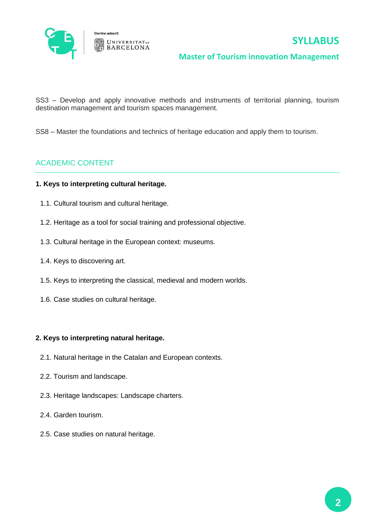

# **SYLLABUS**

#### **Master of Tourism innovation Management**

SS3 – Develop and apply innovative methods and instruments of territorial planning, tourism destination management and tourism spaces management.

SS8 – Master the foundations and technics of heritage education and apply them to tourism.

### ACADEMIC CONTENT

#### **1. Keys to interpreting cultural heritage.**

- 1.1. Cultural tourism and cultural heritage.
- 1.2. Heritage as a tool for social training and professional objective.
- 1.3. Cultural heritage in the European context: museums.
- 1.4. Keys to discovering art.
- 1.5. Keys to interpreting the classical, medieval and modern worlds.
- 1.6. Case studies on cultural heritage.

#### **2. Keys to interpreting natural heritage.**

- 2.1. Natural heritage in the Catalan and European contexts.
- 2.2. Tourism and landscape.
- 2.3. Heritage landscapes: Landscape charters.
- 2.4. Garden tourism.
- 2.5. Case studies on natural heritage.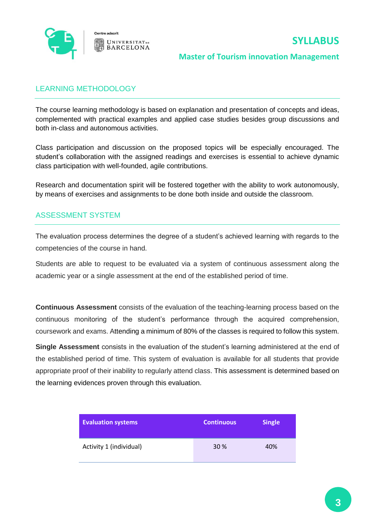

#### **Master of Tourism innovation Management**

### LEARNING METHODOLOGY

The course learning methodology is based on explanation and presentation of concepts and ideas, complemented with practical examples and applied case studies besides group discussions and both in-class and autonomous activities.

Class participation and discussion on the proposed topics will be especially encouraged. The student's collaboration with the assigned readings and exercises is essential to achieve dynamic class participation with well-founded, agile contributions.

Research and documentation spirit will be fostered together with the ability to work autonomously, by means of exercises and assignments to be done both inside and outside the classroom.

#### ASSESSMENT SYSTEM

The evaluation process determines the degree of a student's achieved learning with regards to the competencies of the course in hand.

Students are able to request to be evaluated via a system of continuous assessment along the academic year or a single assessment at the end of the established period of time.

**Continuous Assessment** consists of the evaluation of the teaching-learning process based on the continuous monitoring of the student's performance through the acquired comprehension, coursework and exams. Attending a minimum of 80% of the classes is required to follow this system.

**Single Assessment** consists in the evaluation of the student's learning administered at the end of the established period of time. This system of evaluation is available for all students that provide appropriate proof of their inability to regularly attend class. This assessment is determined based on the learning evidences proven through this evaluation.

| <b>Evaluation systems</b> | <b>Continuous</b> | <b>Single</b> |
|---------------------------|-------------------|---------------|
| Activity 1 (individual)   | <b>30 %</b>       | 40%           |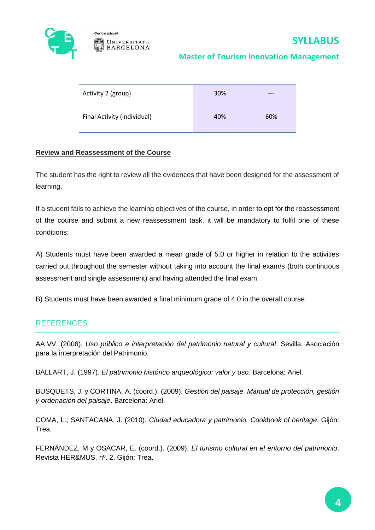

Centre adscrit **UNIVERSITAT** DE **BARCELONA** 

### **Master of Tourism innovation Management**

| Activity 2 (group)          | 30% | $---$ |
|-----------------------------|-----|-------|
| Final Activity (individual) | 40% | 60%   |

#### **Review and Reassessment of the Course**

The student has the right to review all the evidences that have been designed for the assessment of learning.

If a student fails to achieve the learning objectives of the course, in order to opt for the reassessment of the course and submit a new reassessment task, it will be mandatory to fulfil one of these conditions:

A) Students must have been awarded a mean grade of 5.0 or higher in relation to the activities carried out throughout the semester without taking into account the final exam/s (both continuous assessment and single assessment) and having attended the final exam.

B) Students must have been awarded a final minimum grade of 4.0 in the overall course.

### **REFERENCES**

AA.VV. (2008). *Uso público e interpretación del patrimonio natural y cultural*. Sevilla: Asociación para la interpretación del Patrimonio.

BALLART, J. (1997). *El patrimonio histórico arqueológico: valor y uso*. Barcelona: Ariel.

BUSQUETS, J. y CORTINA, A. (coord.). (2009). *Gestión del paisaje. Manual de protección, gestión y ordenación del paisaje*. Barcelona: Ariel.

COMA, L.; SANTACANA, J. (2010). *Ciudad educadora y patrimonio. Cookbook of heritage*. Gijón: Trea.

FERNÁNDEZ, M y OSÁCAR, E. (coord.). (2009). *El turismo cultural en el entorno del patrimonio*. Revista HER&MUS, nº. 2. Gijón: Trea.